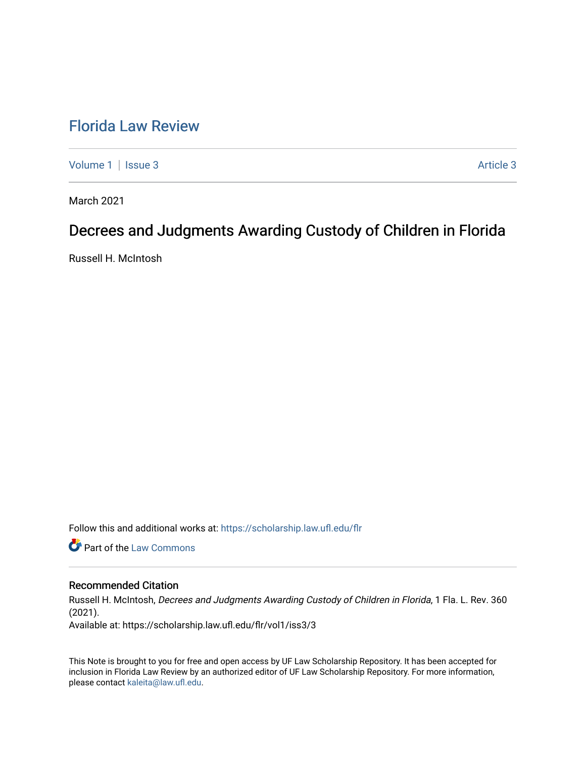## [Florida Law Review](https://scholarship.law.ufl.edu/flr)

[Volume 1](https://scholarship.law.ufl.edu/flr/vol1) | [Issue 3](https://scholarship.law.ufl.edu/flr/vol1/iss3) Article 3

March 2021

# Decrees and Judgments Awarding Custody of Children in Florida

Russell H. McIntosh

Follow this and additional works at: [https://scholarship.law.ufl.edu/flr](https://scholarship.law.ufl.edu/flr?utm_source=scholarship.law.ufl.edu%2Fflr%2Fvol1%2Fiss3%2F3&utm_medium=PDF&utm_campaign=PDFCoverPages)

**Part of the [Law Commons](http://network.bepress.com/hgg/discipline/578?utm_source=scholarship.law.ufl.edu%2Fflr%2Fvol1%2Fiss3%2F3&utm_medium=PDF&utm_campaign=PDFCoverPages)** 

## Recommended Citation

Russell H. McIntosh, Decrees and Judgments Awarding Custody of Children in Florida, 1 Fla. L. Rev. 360 (2021).

Available at: https://scholarship.law.ufl.edu/flr/vol1/iss3/3

This Note is brought to you for free and open access by UF Law Scholarship Repository. It has been accepted for inclusion in Florida Law Review by an authorized editor of UF Law Scholarship Repository. For more information, please contact [kaleita@law.ufl.edu](mailto:kaleita@law.ufl.edu).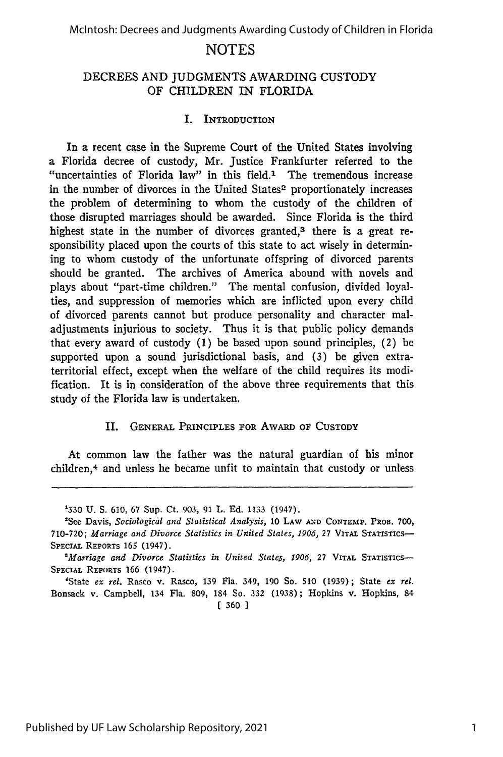### DECREES AND JUDGMENTS AWARDING CUSTODY OF CHILDREN IN FLORIDA

#### I. **INTRODUCTION**

In a recent case in the Supreme Court of the United States involving a Florida decree of custody, Mr. Justice Frankfurter referred to the "uncertainties of Florida law" in this field.<sup>1</sup> The tremendous increase in the number of divorces in the United States<sup>2</sup> proportionately increases the problem of determining to whom the custody of the children of those disrupted marriages should be awarded. Since Florida is the third highest state in the number of divorces granted,<sup>3</sup> there is a great responsibility placed upon the courts of this state to act wisely in determining to whom custody of the unfortunate offspring of divorced parents should be granted. The archives of America abound with novels and plays about "part-time children." The mental confusion, divided loyalties, and suppression of memories which are inflicted upon every child of divorced parents cannot but produce personality and character maladjustments injurious to society. Thus it is that public policy demands that every award of custody (1) be based upon sound principles, (2) be supported upon a sound jurisdictional basis, and (3) be given extraterritorial effect, except when the welfare of the child requires its modification. It is in consideration of the above three requirements that this study of the Florida law is undertaken.

#### II. GENERAL PRINCIPLES FOR AWARD OF CUSTODY

At common law the father was the natural guardian of his minor children,<sup>4</sup> and unless he became unfit to maintain that custody or unless

**[** 360 **1**

<sup>&#</sup>x27;330 U. S. 610, 67 Sup. Ct. 903, 91 L. Ed. 1133 (1947).

<sup>&#</sup>x27;See Davis, *Sociological and Statistical Analysis,* 10 LAW **AND CONTEMP.** PROB. 700, 710-720; *Marriage and Divorce Statistics in United States, 1906,* 27 VITAL STATISTICS-**SPECIAL** REPORTS **165** (1947).

<sup>&</sup>lt;sup>8</sup>Marriage and Divorce Statistics in United States, 1906, 27 VITAL STATISTICS-SPECIAL REPORTS 166 (1947).

<sup>&#</sup>x27;State *ex rel.* Rasco v. Rasco, 139 Fla. 349, 190 So. 510 (1939); State *ex rel.* Bonsack v. Campbell, 134 Fla. 809, 184 So. 332 (1938); Hopkins v. Hopkins, 84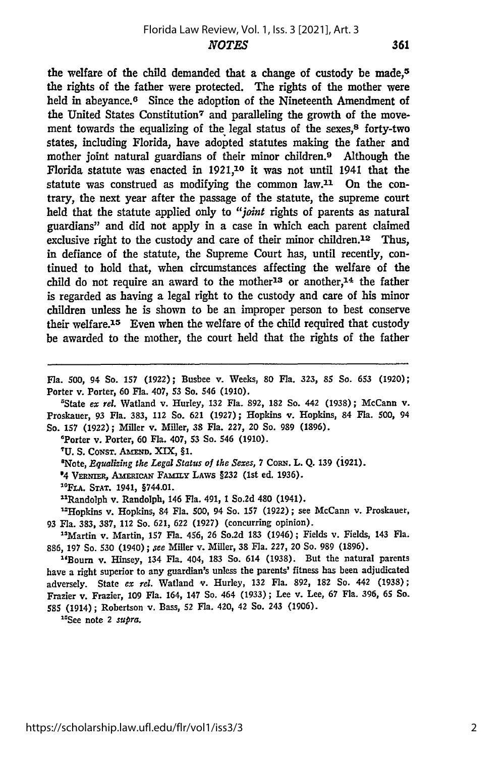the welfare of the child demanded that a change of custody be made.<sup>5</sup> the rights of the father were protected. The rights of the mother were held in abeyance.<sup>6</sup> Since the adoption of the Nineteenth Amendment of the United States Constitution7 and paralleling the growth of the movement towards the equalizing of the legal status of the sexes,<sup>8</sup> forty-two states, including Florida, have adopted statutes making the father and mother joint natural guardians of their minor children.<sup>9</sup> Although the Florida statute was enacted in **1921,10** it was not until 1941 that the statute was construed as modifying the common law.11 On the contrary, the next year after the passage of the statute, the supreme court held that the statute applied only to *"joint* rights of parents as natural guardians" and did not apply in a case in which each parent claimed exclusive right to the custody and care of their minor children.<sup>12</sup> Thus, in defiance of the statute, the Supreme Court has, until recently, continued to hold that, when circumstances affecting the welfare of the child do not require an award to the mother<sup>13</sup> or another,<sup>14</sup> the father is regarded as having a legal right to the custody and care of his minor children unless he is shown to be an improper person to best conserve their welfare.<sup>15</sup> Even when the welfare of the child required that custody be awarded to the mother, the court held that the rights of the father

**Fla. 500,** 94 So. **157 (1922);** Busbee v. Weeks, **80** Fla. **323, 85** So. **653** (1920); Porter v. Porter, **60** Fla. 407, **53** So. 546 **(1910).**

'State *ex rel.* Watland v. Hurley, **132** Fla. 892, **182** So. 442 **(1938);** McCann v. Proskauer, **93** Fla. 383, 112 So. **621 (1927);** Hopkins *v.* Hopkins, 84 Fla. **500,** 94 So. **157 (1922);** Miller v. Miller, 38 Fla. **227,** 20 So. 989 (1896).

'Porter v. Porter, **60** Fla. 407, **53** So. 546 (1910).

<sup>7</sup>U. S. CONST. AMEND. XIX, §1.

<sup>8</sup>Note, *Equalizing the Legal Status of the Sexes*, 7 Corn. L. Q. 139 (1921).

<sup>9</sup>4 VERNIER, AMERICAN FAMILY LAWS §232 (1st ed. 1936).

**"°FLA. STAT.** 1941, §744.01.

"Randolph v. Randolph, 146 Fla. 491, **1** So.2d 480 (1941).

"Hopkins v. Hopkins, 84 Fla. **500,** 94 So. 157 **(1922);** see McCann v. Proskauer, **93** Fla. 383, 387, 112 So. 621, **622** (1927) (concurring opinion).

"Martin v. Martin, **157** Fla. 456, **26** So.2d **183** (1946); Fields v. Fields, 143 Fla. 886, 197 So. 530 (1940) **;** *ee* Miller v. Miller, **38** Fla. 227, 20 So. 989 (1896).

"Bourn v. Hinsey, 134 Fla. 404, **183** So. 614 (1938). But the natural parents have a right superior to any guardian's unless the parents' fitness has been adjudicated adversely. State *ex rel.* Watland v. Hurley, **132** Fla. 892, **182** So. 442 (1938); Frazier v. Frazier, 109 Fla. 164, 147 So. 464 **(1933) ;** Lee v. Lee, 67 Fla. 396, **65** So. **585** (1914); Robertson v. Bass, **52** Fla. 420, 42 So. 243 (1906).

"See note 2 *supra.*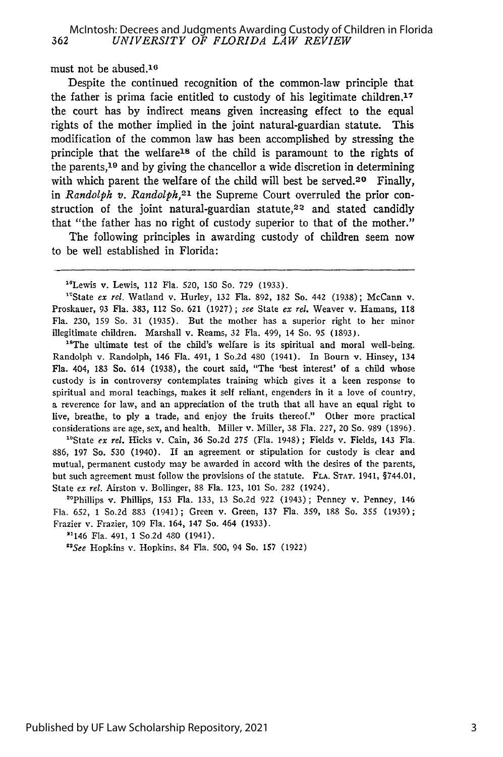must not be abused. $16$ 

Despite the continued recognition of the common-law principle that the father is prima facie entitled to custody of his legitimate children, $17$ the court has by indirect means given increasing effect to the equal rights of the mother implied in the joint natural-guardian statute. This modification of the common law has been accomplished by stressing the principle that the welfare<sup>18</sup> of the child is paramount to the rights of the parents, 19 and by giving the chancellor a wide discretion in determining with which parent the welfare of the child will best be served.<sup>20</sup> Finally, in *Randolph v. Randolph*,<sup>21</sup> the Supreme Court overruled the prior construction of the joint natural-guardian statute,<sup>22</sup> and stated candidly that "the father has no right of custody superior to that of the mother."

The following principles in awarding custody of children seem now to be well established in Florida:

" State *ex rel.* Watland v. Hurley, **132** Fla. **892,** 182 So. 442 **(1938);** McCann v. Proskauer, **93** Fla. **383,** 112 So. **621 (1927)** ; *see* State *ex rel.* Weaver v. Hamans, **118** Fla. **230, 159** So. **31 (1935).** But the mother has a superior right to her minor illegitimate children. Marshall v. Reams, 32 Fla. 499, 14 So. 95 (1893).<br><sup>18</sup>The ultimate test of the child's welfare is its spiritual and moral well-being.

Randolph v. Randolph, 146 Fla. 491, **1** So.2d 480 (1941). In Bourn v. Hinsey, 134 Fla. 404, **183** So. 614 **(1938),** the court said, "The 'best interest' of a child whose custody is in controversy contemplates training which gives it a keen response to spiritual and moral teachings, makes it self reliant, engenders in it a love of country, a reverence for law, and an appreciation of the truth that all have an equal right to live, breathe, to **ply** a trade, and enjoy the fruits thereof." Other more practical considerations are age, sex, and health. Miller v. Miller, **38** Fla. 227, 20 So. **989 (1896).**

"State *ex rel.* Hicks v. Cain, 36 So.2d **275** (Fla. 1948) ; Fields v. Fields, 143 Fla. 886, 197 So. **530** (1940). If an agreement or stipulation for custody is clear and mutual, permanent custody may be awarded in accord with the desires of the parents, but such agreement must follow the provisions of the statute. **FLA.** STAT. 1941, §744.01, State *ex rel.* Airston v. Bollinger, 88 Fla. 123, 101 So. 282 (1924).

"Phillips *v.* Phillips, **153** Fla. 133, 13 So.2d 922 (1943) **;** Penney v. Penney, 146 Fla. 652, 1 So.2d 883 (1941) ; Green v. Green, 137 Fla. 359, 188 So. **355** (1939) Frazier v. Frazier, 109 Fla. 164, 147 So. 464 (1933).

"146 Fla. 491, 1 So.2d 480 (1941).

*"See* Hopkins v. Hopkins, 84 Fla. 500, 94 So. **157** (1922)

<sup>&</sup>quot;Lewis v. Lewis, 112 Fla. 520, **150** So. **729** (1933).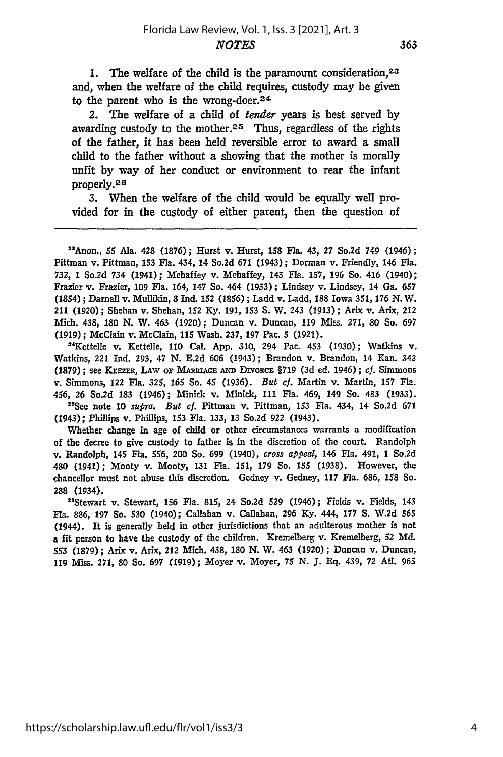**1.** The welfare of the child is the paramount consideration, <sup>23</sup> and, when the welfare of the child requires, custody may be given to the parent who is the wrong-doer.<sup>24</sup>

2. The welfare of a child of *tender* years is best served by awarding custody to the mother.<sup>25</sup> Thus, regardless of the rights of the father, it has been held reversible error to award a small child to the father without a showing that the mother is morally unfit **by** way of her conduct or environment to rear the infant properly. <sup>26</sup>

**3.** When the welfare of the child would be equally well provided for in the custody of either parent, then the question of

"Anon., 55 Ala. 428 **(1876);** Hurst v. Hurst, 158 Fla. 43, 27 So.2d 749 (1946); Pittman v. Pittman, 153 Fla. 434, 14 So.2d **671** (1943); Dorman v. Friendly, 146 Fla. **732,** 1 So.2d 734 (1941); Mehaffey v. Mehaffey, 143 Fla. **157, 196** So. 416 (1940); Frazier v. Frazier, **109** Fla. 164, 147 So. 464 **(1933);** Lindsey v. Lindsey, 14 Ga. **657** (1854) **;** Darnall v. Mullikin, **8** Ind. 152 **(1856) ;** Ladd v. Ladd, 188 Iowa **351, 176 N.** W. 211 **(1920);** Shehan v. Shehan, 152 **Ky. 191,** 153 **S.** W. 243 **(1913);** Arix v. Arix, 212 Mich. 438, 180 **N.** W. 463 **(1920);** Duncan v. Duncan, **119** Miss. **271,** 80 So. **697 (1919) ;** McClain v. McClain, 115 Wash. 237, **197** Pac. 5 **(1921).**

"Kettelle v. Kettelle, **110** Cal. **App.** 310, 294 Pac. 453 **(1930);** Watkins v. Watkins, 221 Ind. **293,** 47 **N. E.2d 606** (1943); Brandon v. Brandon, 14 Kan. 342 **(1879);** see **KEE=, LAw OP MARRAGE AND DIvoRcE** §719 **(3d** ed. 1946); *cf.* Simmons v. Simmons, 122 Fla. **325, 165** So. 45 **(1936).** *But cf.* Martin v. Martin, 157 Fla. 456, **26** So.2d **183** (1946); Minick v. Minick, 111 Fla. 469, 149 So. 483 **(1933).** "'See note **10** *supra. But cf.* Pittman v. Pittman, **153** Fla. 434, 14 So.2d **671**

(1943); Phillips v. Phillips, **153** Fla. **133, 13** So.2d **922** (1943).

Whether change in age of child or other circumstances warrants a modification of the decree to give custody to father is in the discretion of the court. Randolph v. Randolph, 145 Fla. **556,** 200 So. **699** (1940), *cross appeal,* 146 Fla. 491, **1** So.2d 480 (1941); Mooty v. Mooty, 131 Fla. 151, 179 So. 155 (1938). However, the chancellor must not abuse this discretion. Gedney v. Gedney, 117 Fla. 686, 158 So. **288** (1934).

"Stewart v. Stewart, **156** Fla. 815, 24 So.2d **529** (1946); Fields v. Fields, 143 **Fla. 886, 197** So. **530** (1940); Callahan v. Callahan, **296 Ky.** 444, **177 S.** W.2d **565** (1944). It is generally held in other jurisdictions that an adulterous mother is not a fit person to have the custody of the children. Kremelberg v. Kremelberg, 52 **Md.** 553 **(1879);** Arix v. Arix, 212 Mich. 438, **180** N. W. 463 **(1920);** Duncan v. Duncan, 119 Miss. 271, 80 So. **697** (1919); Moyer v. Moyer, **75** N. J. **Eq.** 439, 72 AUt. **965**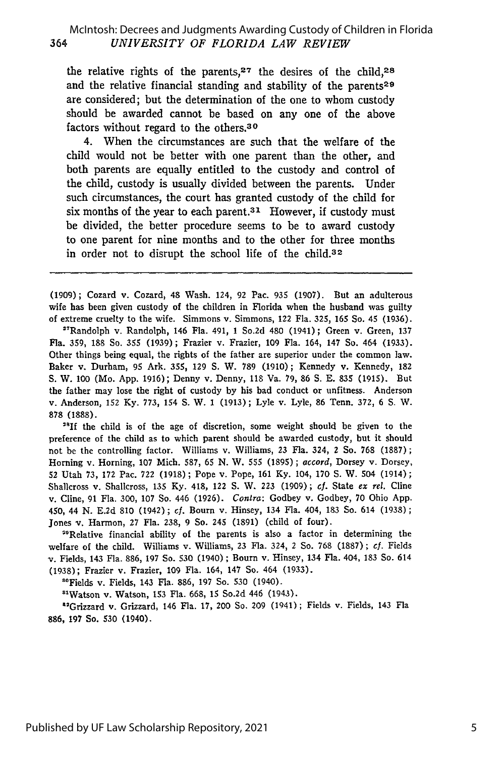the relative rights of the parents,  $27$  the desires of the child,  $28$ and the relative financial standing and stability of the parents<sup>29</sup> are considered; but the determination of the one to whom custody should be awarded cannot be based on any one of the above factors without regard to the others. <sup>30</sup>

4. When the circumstances are such that the welfare of the child would not be better with one parent than the other, and both parents are equally entitled to the custody and control of the child, custody is usually divided between the parents. Under such circumstances, the court has granted custody of the child for six months of the year to each parent. $31$  However, if custody must be divided, the better procedure seems to be to award custody to one parent for nine months and to the other for three months in order not to disrupt the school life of the child.<sup>32</sup>

(1909); Cozard v. Cozard, 48 Wash. 124, 92 Pac. 935 (1907). But an adulterous wife has been given custody of the children in Florida when the husband was guilty of extreme cruelty to the wife. Simmons v. Simmons, 122 Fla. 325, 165 So. 45 (1936).

"Randolph v. Randolph, 146 Fla. 491, **1** So.2d 480 (1941); Green v. Green, **137** Fla. **359,** 188 So. **355** (1939); Frazier v. Frazier, 109 Fla. 164, 147 So. 464 (1933). Other things being equal, the rights of the father are superior under the common law. Baker v. Durham, **95** Ark. **355,** 129 **S.** W. **789** (1910); Kennedy v. Kennedy, 182 S. W. 100 (Mo. App. 1916); Denny v. Denny, 118 Va. 79, **86 S.** E. 835 (1915). But the father may lose the right of custody **by** his had conduct or unfitness. Anderson v. Anderson, 152 Ky. 773, 154 **S.** W. 1 (1913); Lyle v. Lyle, **86** Tenn. 372, 6 **.** W. **878** (1888).

<sup>28</sup>If the child is of the age of discretion, some weight should be given to the preference of the child as to which parent should be awarded custody, but it should not be the controlling factor. Williams v. Williams, 23 Fla. 324, 2 So. 768 (1887); Horning v. Horning, **107** Mich. 587, 65 N. W. 555 (1895); *accord,* Dorsey v. Dorsey, **52** Utah 73, 172 Pac. 722 (1918) ; Pope v. Pope, 161 Ky. 104, 170 **S.** W. 504 (1914) **;** Shallcross v. Shallcross, 135 Ky. 418, 122 **S.** W. 223 (1909); *cf.* State *ex* rel. Cline v. Cline, 91 Fla. 300, 107 So. 446 (1926). *Contra:* Godbey v. Godbey, 70 Ohio App. 450, 44 N. E.2d 810 (1942) ; *cf.* Bourn v. Hinsey, 134 Fla. 404, 183 So. 614 (1938); Jones v. Harmon, 27 Fla. 238, 9 So. 245 (1891) (child of four).

<sup>29</sup>Relative financial ability of the parents is also a factor in determining the welfare of the child. Williams v. Williams, 23 Fla. 324, 2 So. 768 (1887); *cf.* Fields **v.** Fields, 143 Fla. 886, 197 So. 530 (1940) ; Bourn v. Hinsey, 134 Fla. 404, 183 So. 614 (1938); Frazier v. Frazier, 109 Fla. 164, 147 So. 464 (1933).

<sup>80</sup>Fields v. Fields, 143 Fla. 886, 197 So. 530 (1940)

"lWatson v. Watson, **153** Fla. 668, **15** So.2d 446 (1943).

aGrizzard v. Grizzard, 146 Fla. 17, 200 So. 209 (1941) **;** Fields v. Fields, 143 Fla 886, 197 So. **530** (1940).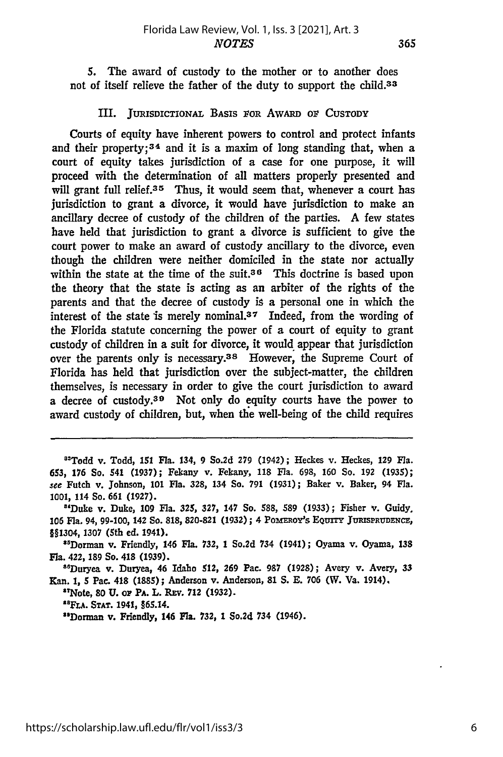**5.** The award of custody to the mother or to another does not of itself relieve the father of the duty to support the child.<sup>33</sup>

#### III. JURISDICTIONAL **BASIS roR** AWARD or **CUSTODY**

Courts of equity have inherent powers to control and protect infants and their property;  $34$  and it is a maxim of long standing that, when a court of equity takes jurisdiction of a case for one purpose, it will proceed with the determination of all matters properly presented and will grant full relief.<sup>35</sup> Thus, it would seem that, whenever a court has jurisdiction to grant a divorce, it would have jurisdiction to make an ancillary decree of custody of the children of the parties. **A** few states have held that jurisdiction to grant a divorce is sufficient to give the court power to make an award of custody ancillary to the divorce, even though the children were neither domiciled in the state nor actually within the state at the time of the suit.<sup>36</sup> This doctrine is based upon the theory that the state is acting as an arbiter of the rights of the parents and that the decree of custody is a personal one in which the interest of the state is merely nominal.<sup>37</sup> Indeed, from the wording of the Florida statute concerning the power of a court of equity to grant custody of children in a suit for divorce, it would appear that jurisdiction over the parents only is necessary.<sup>38</sup> However, the Supreme Court of Florida has held that jurisdiction over the subject-matter, the children themselves, is necessary in order to give the court jurisdiction to award a decree of custody.<sup>39</sup> Not only do equity courts have the power to award custody of children, but, when the well-being of the child requires

"Todd v. Todd, **151** Fla. 134, **9 So.2d 279** (1942); Heckes v. Heckes, **129** Fla. 653, **176** So. 541 **(1937);** Fekany v. Fekany, **118** Fla. **698, 160** So. **192 (1935);** *see* Futch v. Johnson, **101** Fla. **328,** 134 So. **791 (1931);** Baker v. Baker, 94 Fla. **1001,** 114 So. **661 (1927).**

"'Duke v. Duke, **109** Fla. **325, 327,** 147 So. **588, 589 (1933);** Fisher v. Guidy. **106** Fla. 94, **99-100,** 142 So. **818, 820-821 (1932) ;** 4 Pommoy's EQunTY **JuRisPRUDENCE, §§1304, 1307** (5th ed. 1941).

"'Dorman v. Friendly, 146 Fla. **732,** 1 So.2d 734 (1941); Oyama v. Oyama, **<sup>138</sup>** Fla. 422, **189** So. 418 **(1939).**

"6Duryea v. Duryea, 46 Idaho 512, **269** Pac. **987** (1928); Avery v. Avery, 33 Kan. **1, S** Pac. 418 **(1885);** Anderson v. Anderson, **81 S. E. 706** (W. Va. 1914),

"INote, **80 U.** or PA. L. **REv. 712 (1932).**

**"FLA. STAT.** 1941, §65.14.

**<sup>5</sup> Dorman** v. Friendly, 146 **Fla. 732,** 1 So.2d 734 (1946).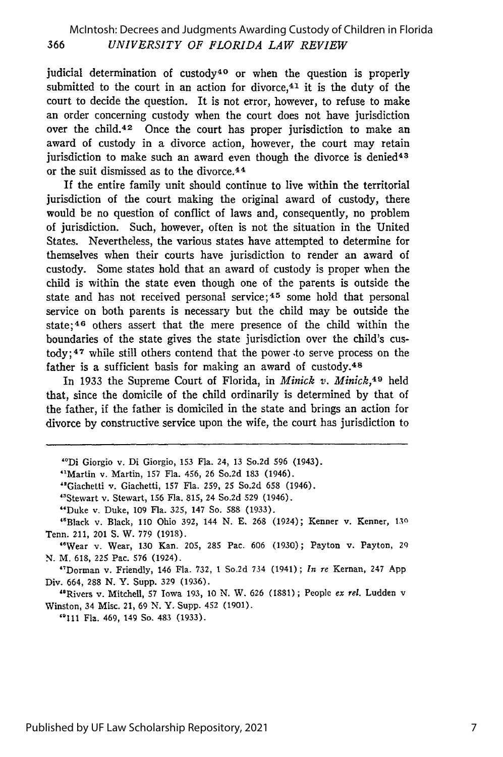#### McIntosh: Decrees and Judgments Awarding Custody of Children in Florida *UNIVERSITY OF FLORIDA LAW REVIEW* 366

judicial determination of custody<sup>40</sup> or when the question is properly submitted to the court in an action for divorce,  $41$  it is the duty of the court to decide the question. It is not error, however, to refuse to make an order concerning custody when the court does not have jurisdiction over the child.<sup>42</sup> Once the court has proper jurisdiction to make an award of custody in a divorce action, however, the court may retain jurisdiction to make such an award even though the divorce is denied<sup>43</sup> or the suit dismissed as to the divorce.<sup>44</sup>

If the entire family unit should continue to live within the territorial jurisdiction of the court making the original award of custody, there would be no question of conflict of laws and, consequently, no problem of jurisdiction. Such, however, often is not the situation in the United States. Nevertheless, the various states have attempted to determine for themselves when their courts have jurisdiction to render an award of custody. Some states hold that an award of custody is proper when the child is within the state even though one of the parents is outside the state and has not received personal service;<sup>45</sup> some hold that personal service on both parents is necessary but the child may be outside the state;<sup>46</sup> others assert that the mere presence of the child within the boundaries of the state gives the state jurisdiction over the child's cus- $\text{today};$ <sup>47</sup> while still others contend that the power to serve process on the father is a sufficient basis for making an award of custody.<sup>48</sup>

In 1933 the Supreme Court of Florida, in *Minick v. Minick,4 9* held that, since the domicile of the child ordinarily is determined by that of the father, if the father is domiciled in the state and brings an action for divorce by constructive service upon the wife, the court has jurisdiction to

"Giachetti v. Giachetti, 157 Fla. 259, 25 So.2d 658 (1946).

"Dorman v. Friendly, 146 Fla. 732, 1 So.2d 734 (1941); *In re* Kernan, 247 App Div. 664, **288** N. Y. Supp. 329 (1936).

"Rivers v. Mitchell, 57 Iowa 193, 10 N. W. 626 (1881); People *ex rel.* Ludden v Winston, 34 Misc. 21, 69 N. Y. Supp. 452 (1901).

"111 Fla. 469, 149 So. 483 (1933).

<sup>&</sup>quot;Di Giorgio v. Di Giorgio, **153** Fla. 24, 13 So.2d **596** (1943).

<sup>&</sup>quot;Martin v. Martin, 157 Fla. 456, 26 So.2d 183 (1946).

<sup>&</sup>quot;Stewart v. Stewart, 156 Fla. 815, 24 So.2d **529** (1946).

<sup>&</sup>quot;Duke v. Duke, 109 Fla. 325, 147 So. 588 (1933).

<sup>&</sup>quot;Black v. Black, 110 Ohio 392, 144 N. E. 268 (1924); Kenner v. Kenner, **130** Tenn. 211, 201 S. W. 779 (1918).

<sup>&</sup>quot;Wear v. Wear, 130 Kan. 205, **285** Pac. 606 (1930); Payton v. Payton, 29 N. M. 618, 225 Pac. 576 (1924).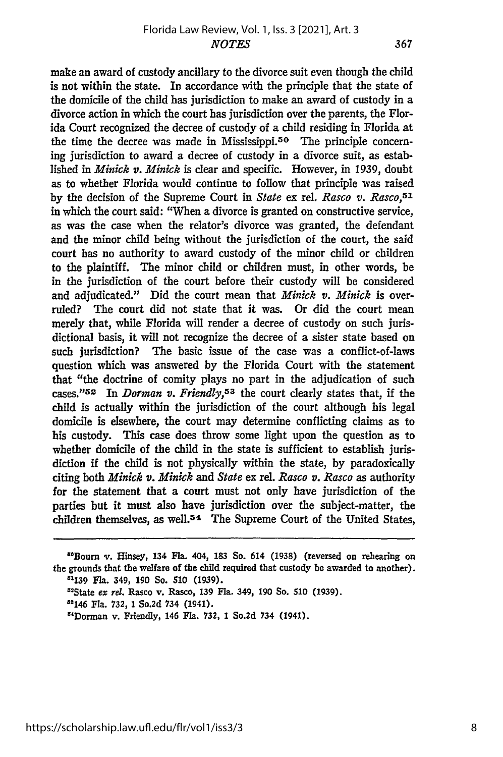367

make an award of custody ancillary to the divorce suit even though the child is not within the state. In accordance with the principle that the state of the domicile of the child has jurisdiction to make an award of custody in a divorce action in which the court has jurisdiction over the parents, the Florida Court recognized the decree of custody of a child residing in Florida at the time the decree was made in Mississippi.<sup>50</sup> The principle concerning jurisdiction to award a decree of custody in a divorce suit, as established in *Minick v. Minick* is clear and specific. However, in 1939, doubt as to whether Florida would continue to follow that principle was raised by the decision of the Supreme Court in *State* ex rel. *Rasco v. Rasco,<sup>5</sup> '* in which the court said: "When a divorce is granted on constructive service, as was the case when the relator's divorce was granted, the defendant and the minor child being without the jurisdiction of the court, the said court has no authority to award custody of the minor child or children to the plaintiff. The minor child or children must, in other words, be in the jurisdiction of the court before their custody will be considered and adjudicated." Did the court mean that *Minick v. Minick* is overruled? The court did not state that it was. Or did the court mean merely that, while Florida will render a decree of custody on such jurisdictional basis, it will not recognize the decree of a sister state based on such jurisdiction? The basic issue of the case was a conflict-of-laws question which was answered by the Florida Court with the statement that "the doctrine of comity plays no part in the adjudication of such cases."<sup>52</sup> In *Dorman v. Friendly*,<sup>53</sup> the court clearly states that, if the child is actually within the jurisdiction of the court although his legal domicile is elsewhere, the court may determine conflicting claims as to his custody. This case does throw some light upon the question as to whether domicile of the child in the state is sufficient to establish jurisdiction if the child is not physically within the state, **by** paradoxically citing both *Minick v. Minick and State* ex rel. *Rasco v. Rasco* as authority for the statement that a court must not only have jurisdiction of the parties but it must also have jurisdiction over the subject-matter, the children themselves, as well.54 The Supreme Court of the United States,

<sup>&</sup>quot;Bourn v. Hinsey, 134 Fla. 404, **183** So. 614 (1938) (reversed on rehearing on the grounds that the welfare of the child required that custody be awarded to another). **:1139** Fla. 349, **190** So. **510** (1939).

<sup>&#</sup>x27;State *ex rel.* Rasco v. Rasco, **139** Fla. 349, 190 So. **510** (1939).

<sup>&</sup>quot;s146 Fla. **732, 1** So.2d 734 (1941).

<sup>&</sup>quot;Dorman v. Friendly, 146 Fla. **732,** 1 So.2d 734 (1941).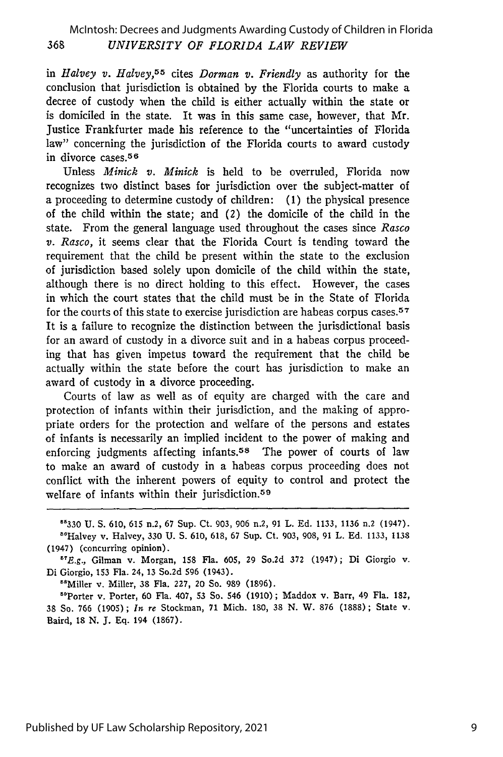in *Halvey v. Halvey,5 5* cites *Dorman v. Friendly* as authority for the conclusion that jurisdiction is obtained by the Florida courts to make a decree of custody when the child is either actually within the state or is domiciled in the state. It was in this same case, however, that Mr. Justice Frankfurter made his reference to the "uncertainties of Florida law" concerning the jurisdiction of the Florida courts to award custody in divorce cases. 5 6

Unless *Minick v. Minick* is held to be overruled, Florida now recognizes two distinct bases for jurisdiction over the subject-matter of a proceeding to determine custody of children: (1) the physical presence of the child within the state; and (2) the domicile of the child in the state. From the general language used throughout the cases since *Rasco v. Rasco,* it seems clear that the Florida Court is tending toward the requirement that the child be present within the state to the exclusion of jurisdiction based solely upon domicile of the child within the state, although there is no direct holding to this effect. However, the cases in which the court states that the child must be in the State of Florida for the courts of this state to exercise jurisdiction are habeas corpus cases.<sup>57</sup> It is a failure to recognize the distinction between the jurisdictional basis for an award of custody in a divorce suit and in a habeas corpus proceeding that has given impetus toward the requirement that the child be actually within the state before the court has jurisdiction to make an award of custody in a divorce proceeding.

Courts of law as well as of equity are charged with the care and protection of infants within their jurisdiction, and the making of appropriate orders for the protection and welfare of the persons and estates of infants is necessarily an implied incident to the power of making and enforcing judgments affecting infants.<sup>58</sup> The power of courts of law to make an award of custody in a habeas corpus proceeding does not conflict with the inherent powers of equity to control and protect the welfare of infants within their jurisdiction.<sup>59</sup>

"330 U. S. 610, 615 n.2, 67 Sup. Ct. 903, 906 n.2, 91 L. Ed. 1133, 1136 n.2 (1947).

<sup>86</sup>Halvey v. Halvey, 330 U. S. 610, 618, 67 Sup. Ct. 903, 908, 91 L. Ed. 1133, 1138 (1947) (concurring opinion).

"'E.g., Gilman v. Morgan, 158 Fla. **605,** 29 So.2d 372 (1947); Di Giorgio v. Di Giorgio, **153** Fla. 24, 13 So.2d **596** (1943).

<sup>58</sup>Miller v. Miller, 38 Fla. 227, 20 So. 989 (1896).

"Porter v. Porter, 60 Fla. 407, **53** So. 546 (1910); Maddox v. Barr, 49 Fla. 182, 38 So. 766 (1905); *In re* Stockman, 71 Mich. 180, 38 N. W. **876** (1888); State v. Baird, 18 N. **J.** Eq. 194 (1867).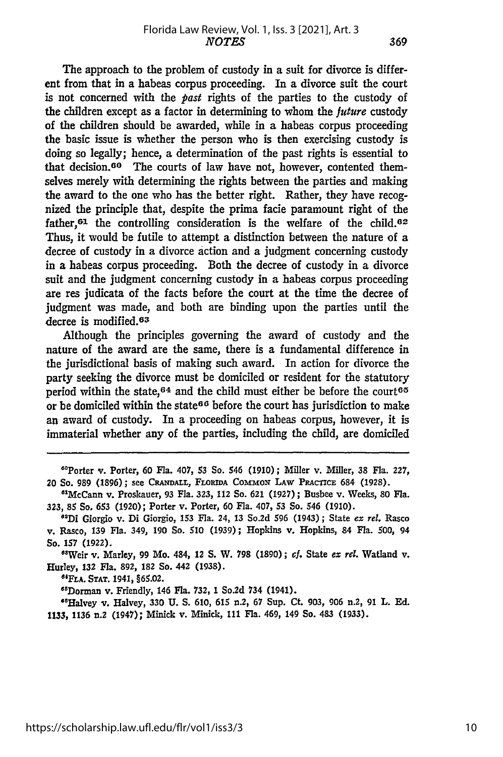The approach to the problem of custody in a suit for divorce is different from that in a habeas corpus proceeding. In a divorce suit the court is not concerned with the *past* rights of the parties to the custody of the children except as a factor in determining to whom the *future* custody of the children should be awarded, while in a habeas corpus proceeding the basic issue is whether the person who is then exercising custody is doing so legally; hence, a determination of the past rights is essential to that decision.<sup>60</sup> The courts of law have not, however, contented themselves merely with determining the rights between the parties and making the award to the one who has the better right. Rather, they have recognized the principle that, despite the prima facie paramount right of the father, $61$  the controlling consideration is the welfare of the child. $62$ Thus, it would be futile to attempt a distinction between the nature of a decree of custody in a divorce action and a judgment concerning custody in a habeas corpus proceeding. Both the decree of custody in a divorce suit and the judgment concerning custody in a habeas corpus proceeding are res judicata of the facts before the court at the time the decree of judgment was made, and both are binding upon the parties until the decree is modified.<sup>63</sup>

Although the principles governing the award of custody and the nature of the award are the same, there is a fundamental difference in the jurisdictional basis of making such award. In action for divorce the party seeking the divorce must be domiciled or resident for the statutory period within the state,<sup>64</sup> and the child must either be before the court<sup>65</sup> or be domiciled within the state<sup>66</sup> before the court has jurisdiction to make an award of custody. In a proceeding on habeas corpus, however, it is immaterial whether any of the parties, including the child, are domiciled

"'Porter v. Porter, **60** Fla. 407, **53** So. **546 (1910);** Miller v. Miller, **38** Fla. **227, 20** So. **989 (1896);** see **CRANDALL, FLORiDA CommON LAW PRACTICE 684 (1928).**

<sup>8</sup> McCann v. Proskauer, 93 Fla. **323,** 112 So. **621 (1927);** Busbee v. Weeks, **80** Fla. **323, 85** So. 653 **(1920);** Porter v. Porter, **60** Fla. 407, 53 So. 546 **(1910).**

**"Di** Giorgio v. Di Giorgio, **153** Fla. 24, 13 So.2d **596** (1943); State *ex rel.* Rasco v. Rasco, 139 Fla. 349, **190** So. **510 (1939);** Hopkins v. Hopkins, 84 Fla. **500,** 94 So. **157 (1922).**

"Weir v. Marley, 99 Mo. 484, 12 **S.** W. **798 (1890);** cf. State *ex rel.* Watland v. Hurley, **132** Fla. **892, 182** So. 442 **(1938).**

**"6FLA. STAT. 1941, §65.02.**

O"Dorman v. Friendly, 146 Fla. 732, **1** So.2d 734 (1941).

"Halvey **v.** Halvey, **330 U. S. 610,** 615 n.2, **67** Sup. Ct. **903, 906** n.2, **91** L. **Ed. 1133, 1136** n.2 (1947); Minick v. Minick, **111** Fla. 469, 149 So. 483 **(1933).**

369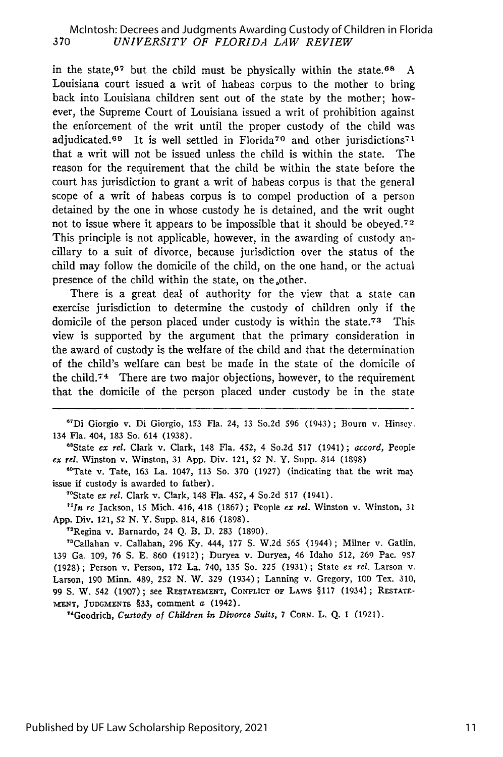#### *UNIVERSITY OF FLORIDA LAW REVIEW* McIntosh: Decrees and Judgments Awarding Custody of Children in Florida

in the state,<sup>67</sup> but the child must be physically within the state.<sup>68</sup> A Louisiana court issued a writ of habeas corpus to the mother to bring back into Louisiana children sent out of the state by the mother; however, the Supreme Court of Louisiana issued a writ of prohibition against the enforcement of the writ until the proper custody of the child was adjudicated.<sup>69</sup> It is well settled in Florida<sup>70</sup> and other jurisdictions<sup>71</sup> that a writ will not be issued unless the child is within the state. The reason for the requirement that the child be within the state before the court has jurisdiction to grant a writ of habeas corpus is that the general scope of a writ of habeas corpus is to compel production of a person detained by the one in whose custody he is detained, and the writ ought not to issue where it appears to be impossible that it should be obeyed.<sup>72</sup> This principle is not applicable, however, in the awarding of custody ancillary to a suit of divorce, because jurisdiction over the status of the child may follow the domicile of the child, on the one hand, or the actual presence of the child within the state, on the other.

There is a great deal of authority for the view that a state can exercise jurisdiction to determine the custody of children only if the domicile of the person placed under custody is within the state.<sup>73</sup> This view is supported by the argument that the primary consideration in the award of custody is the welfare of the child and that the determination of the child's welfare can best be made in the state of the domicile of the child. $74$  There are two major objections, however, to the requirement that the domicile of the person placed under custody be in the state

<sup>67</sup>Di Giorgio v. Di Giorgio, 153 Fla. 24, 13 So.2d 596 (1943); Bourn v. Hinsey. 134 Fla. 404, 183 So. 614 (1938). 68State *ex rel.* Clark v. Clark, 148 Fla. 452, 4 So.2d 517 (1941); *accord,* People

*ex* rel. Winston v. Winston, 31 App. Div. 121, 52 N. Y. Supp. 814 (1898)

 ${}^{60}$ Tate v. Tate, 163 La. 1047, 113 So. 370 (1927) (indicating that the writ may issue if custody is awarded to father).

"State *ex rel.* Clark v. Clark, 148 Fla. 452, 4 So.2d **517** (1941).

*"In re* Jackson, 15 Mich. 416, 418 (1867) ; People *ex rel.* Winston v. Winston, 31 App. Div. 121, 52 N. Y. Supp. 814, 816 (1898).

"'Regina v. Barnardo, 24 Q. B. D. 283 (1890).

"'Callahan v. Callahan, 296 Ky. 444, 177 **S.** W.2d 565 (1944); Milner v. Gatlin, 139 Ga. 109, 76 **S.** E. 860 (1912); Duryea v. Duryea, 46 Idaho 512, 269 Pac. **937** (1928) ; Person v. Person, **172** La. 740, 135 So. 225 (1931) ; State *ex rel.* Larson v. Larson, 190 Minn. 489, 252 N. W. 329 (1934); Lanning v. Gregory, **100** Tex. 310, 99 **S.** W. 542 (1907); see RESTATEMENT, CONFLICT or LAws §117 (1934); RESTATE-MENT, JUDGMENTS §33, comment a (1942).

"Goodrich, *Custody of Children in Divorco Suits,* 7 CORN. L. Q. **1** (1921).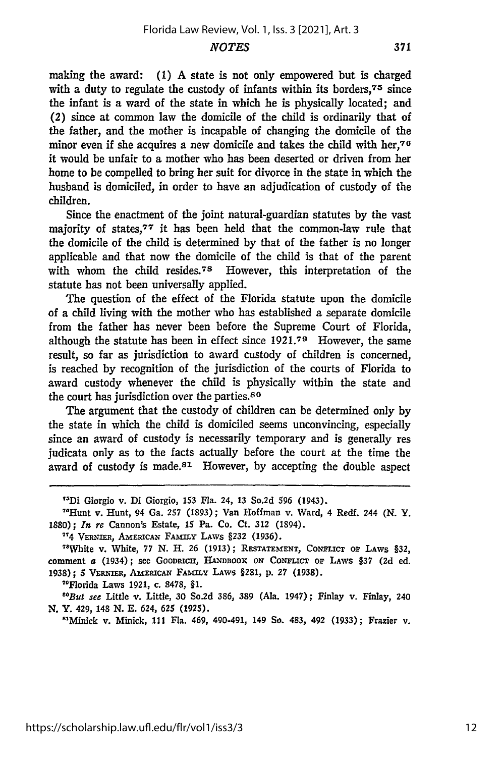making the award: (1) A state is not only empowered but is charged with a duty to regulate the custody of infants within its borders, $75$  since the infant is a ward of the state in which he is physically located; and (2) since at common law the domicile of the child is ordinarily that of the father, and the mother is incapable of changing the domicile of the minor even if she acquires a new domicile and takes the child with her, $76$ it would be unfair to a mother who has been deserted or driven from her home to be compelled to bring her suit for divorce in the state in which the husband is domiciled, in order to have an adjudication of custody of the children.

Since the enactment of the joint natural-guardian statutes **by** the vast majority of states,<sup>77</sup> it has been held that the common-law rule that the domicile of the child is determined **by** that of the father is no longer applicable and that now the domicile of the child is that of the parent with whom the child resides.<sup>78</sup> However, this interpretation of the statute has not been universally applied.

The question of the effect of the Florida statute upon the domicile of a child living with the mother who has established a separate domicile from the father has never been before the Supreme Court of Florida, although the statute has been in effect since **1921. 7 9** However, the same result, so far as jurisdiction to award custody of children is concerned, is reached **by** recognition of the jurisdiction of the courts of Florida to award custody whenever the child is physically within the state and the court has jurisdiction over the parties.<sup>80</sup>

The argument that the custody of children can be determined only **by** the state in which the child is domiciled seems unconvincing, especially since an award of custody is necessarily temporary and is generally res judicata only as to the facts actually before the court at the time the award of custody is made.<sup>81</sup> However, by accepting the double aspect

"Di Giorgio v. Di Giorgio, **153 Fla.** 24, **13** So.2d **596 (1943).**

"Hunt v. Hunt, 94 Ga. **257 (1893);** Van Hoffman v. Ward, 4 Redf. 244 **(N.** Y. **1880) ;** *In re* Cannon's Estate, **15** Pa. Co. Ct. **312** (1894).

"4 VERNIER, **AMERICAN FAAILY LAWS §232 (1936).**

<sup>78</sup>White v. White, 77 N. H. 26 (1913); RESTATEMENT, CONFLICT OF LAWS §32, comment a (1934); see GOODRICH, **HANDBOOK ON** *CONFICT* **OF** LAWS **§37 (2d ed. 1938); 5** VRN mna, **AMEPicAN** *FAkiY* LAWS §281, **p. 27 (1938).**

"Florida Laws **1921,** c. **8478, §1.**

*"But see* Little v. Little, **30** So.2d **386, 389** (Ala. 1947); Finlay v. Finlay, 240 **N.** Y. **429, 148 N. E. 624, 625 (1925).**

**"Minick v. Minick, 111 Fla. 469, 490-491, 149 So. 483, 492 (1933); Frazier v.**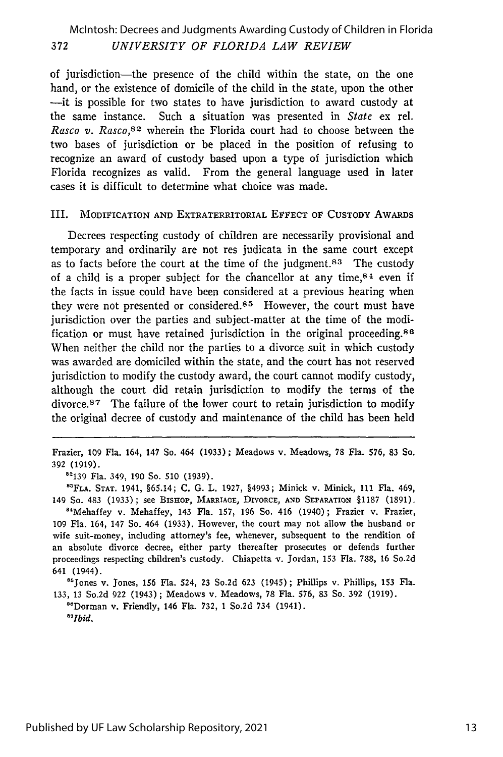### 372 *UNIVERSITY OF FLORIDA LAW REVIEW* McIntosh: Decrees and Judgments Awarding Custody of Children in Florida

of jurisdiction-the presence of the child within the state, on the one hand, or the existence of domicile of the child in the state, upon the other -it is possible for two states to have jurisdiction to award custody at the same instance. Such a situation was presented in *State* ex rel. *Rasco v. Rasco,<sup>82</sup>*wherein the Florida court had to choose between the two bases of jurisdiction or be placed in the position of refusing to recognize an award of custody based upon a type of jurisdiction which Florida recognizes as valid. From the general language used in later cases it is difficult to determine what choice was made.

#### III. MODIFICATION **AND** EXTRATERRITORIAL EFFECT OF CUSTODY AWARDS

Decrees respecting custody of children are necessarily provisional and temporary and ordinarily are not res judicata in the same court except as to facts before the court at the time of the judgment.<sup>83</sup> The custody of a child is a proper subject for the chancellor at any time,  $84$  even if the facts in issue could have been considered at a previous hearing when they were not presented or considered.<sup>85</sup> However, the court must have jurisdiction over the parties and subject-matter at the time of the modification or must have retained jurisdiction in the original proceeding. <sup>86</sup> When neither the child nor the parties to a divorce suit in which custody was awarded are domiciled within the state, and the court has not reserved jurisdiction to modify the custody award, the court cannot modify custody, although the court did retain jurisdiction to modify the terms of the divorce.<sup>87</sup> The failure of the lower court to retain jurisdiction to modify the original decree of custody and maintenance of the child has been held

Frazier, 109 Fla. 164, 147 So. 464 (1933) ; Meadows v. Meadows, 78 Fla. 576, 83 So. 392 (1919).

' 139 Fla. 349, 190 So. 510 (1939).

**8 3FLA. STAT.** 1941, §65.14; **C.** G. L. 1927, §4993; Minick v. Minick, **111** Fla. 469, 149 So. 483 (1933); see BIsHoP, MARRIAGE, DIVORCE, AND SEPARATION §1187 (1891). <sup>84</sup>Mehaffey v. Mehaffey, 143 Fla. 157, 196 So. 416 (1940); Frazier v. Frazier, 109 Fla. 164, 147 So. 464 (1933). However, the court may not allow the husband or wife suit-money, including attorney's fee, whenever, subsequent to the rendition of an absolute divorce decree, either party thereafter prosecutes or defends further proceedings respecting children's custody. Chiapetta v. Jordan, 153 Fla. 738, 16 So.2d 641 (1944).

<sup>8</sup> Jones v. Jones, 156 Fla. 524, 23 So.2d 623 (1945); Phillips v. Phillips, 153 Fla. 133, 13 So.2d 922 (1943); Meadows v. Meadows, 78 Fla. 576, 83 So. 392 (1919).<br><sup>8</sup> Dorman v. Friendly, 146 Fla. 732, 1 So.2d 734 (1941).

*8 1Ibid.*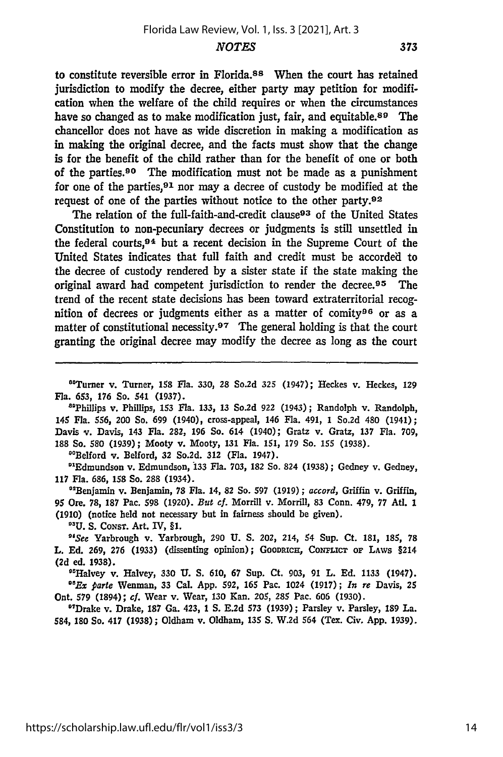to constitute reversible error in Florida.88 When the court has retained jurisdiction to modify the decree, either party may petition for modification when the welfare of the child requires or when the circumstances have so changed as to make modification just, fair, and equitable.<sup>89</sup> The chancellor does not have as wide discretion in making a modification as in making the original decree, and the facts must show that the change is for the benefit of the child rather than for the benefit of one or both of the parties.90 The modification must not be made as a punishment for one of the parties,  $91$  nor may a decree of custody be modified at the request of one of the parties without notice to the other party.92

The relation of the full-faith-and-credit clause<sup>93</sup> of the United States Constitution to non-pecuniary decrees or judgments is still unsettled in the federal courts, 94 but a recent decision in the Supreme Court of the United States indicates that full faith and credit must be accorded to the decree of custody rendered **by** a sister state if the state making the original award had competent jurisdiction to render the decree. 95 The trend of the recent state decisions has been toward extraterritorial recognition of decrees or judgments either as a matter of comity96 or as a matter of constitutional necessity.<sup>97</sup> The general holding is that the court granting the original decree may modify the decree as long as the court

"'Turner v. Turner, **158** Fla. **330, 28** So.2d **325** (1947); Heckes v. Heckes, **129** Fla. 653, **176** So. 541 **(1937).**

"'Phillips v. Phillips, **153** Fla. 133, 13 So.2d **922** (1943); Randolph v. Randolph, 145 Fla. **556,** 200 So. 699 (1940), cross-appeal, 146 Fla. 491, 1 So.2d 480 (1941); Davis v. Davis, 143 Fla. **282, 196** So. 614 (1940); Gratz v. Gratz, **137** Fla. **709, 188** So. **580 (1939);** Mooty v. Mooty, 131 Fla. **151, 179** So. **155** (1938).

"fBelford *v.* Belford, **32** So.2d. **312** (Fla. 1947).

<sup>01</sup>Edmundson v. Edmundson, 133 Fla. 703, 182 So. 824 (1938); Gedney v. Gedney **117** Fla. **686, 158** So. 288 (1934).

"Benjamin v. Benjamin, **78** Fla. 14, **82** So. **597** (1919); *accord,* Griffin v. Griffin, **95** Ore. **78,** 187 Pac. **598** (1920). *But cf.* Morrill v. Morrill, **83** Conn. 479, **77** At. 1 (1910) (notice held not necessary but in fairness should be given).

**°1U.** S. CoxsT. Art. **IV,** §1.

*"See* Yarbrough v. Yarbrough, **290 U.** S. 202, 214, 54 Sup. Ct. 181, **185, 78** L. **Ed. 269, 276** (1933) (dissenting opinion); GOODRICH, CONFLIcT **OF LAWS** §214 **(2d** ed. **1938).**

"Halvey v. Halvey, **330 U. S.** 610, 67 Sup. Ct. **903,** 91 L. **Ed.** 1133 (1947). *"Ex* parte Wenman, **33** Cal. **App. 592, 165** Pac. 1024 (1917); *In re* Davis, 25 Ont. **579** (1894); cf. Wear v. Wear, **130** Kan. 205, **285** Pac. 606 (1930).

"Drake v. Drake, **187** Ga. 423, 1 **S. E.2d 573 (1939);** Parsley v. Parsley, 189 La. 584, **180** So. 417 **(1938);** Oldham v. Oldham, **135 S.** W.2d 564 (Tex. Civ. **App.** 1939).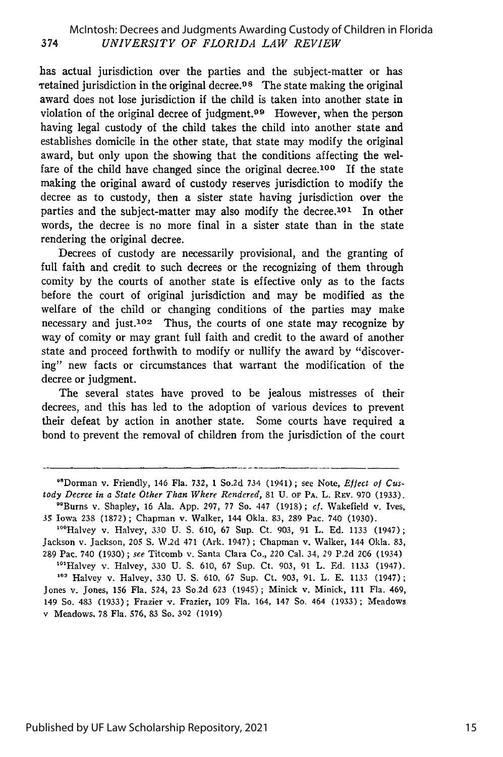has actual jurisdiction over the parties and the subject-matter or has retained jurisdiction in the original decree.<sup>98</sup> The state making the original award does not lose jurisdiction if the child is taken into another state in violation of the original decree of judgment.<sup>99</sup> However, when the person having legal custody of the child takes the child into another state and establishes domicile in the other state, that state may modify the original award, but only upon the showing that the conditions affecting the welfare of the child have changed since the original decree.<sup>100</sup> If the state making the original award of custody reserves jurisdiction to modify the decree as to custody, then a sister state having jurisdiction over the parties and the subject-matter may also modify the decree.<sup>101</sup> In other words, the decree is no more final in a sister state than in the state rendering the original decree.

Decrees of custody are necessarily provisional, and the granting of full faith and credit to such decrees or the recognizing of them through comity by the courts of another state is effective only as to the facts before the court of original jurisdiction and may be modified as the welfare of the child or changing conditions of the parties may make necessary and just.<sup>102</sup> Thus, the courts of one state may recognize by way of comity or may grant full faith and credit to the award of another state and proceed forthwith to modify or nullify the award by "discovering" new facts or circumstances that warrant the modification of the decree or judgment.

The several states have proved to be jealous mistresses of their decrees, and this has led to the adoption of various devices to prevent their defeat by action in another state. Some courts have required a bond to prevent the removal of children from the jurisdiction of the court

<sup>&</sup>quot;'Dorman v. Friendly, 146 Fla. 732, 1 So.2d 734 (1941); see Note, *Effect of Custody Decree in a State Other Than Where Rendered,* 81 U. OF PA. L. REv. 970 (1933). " 9 Burns v. Shapley, 16 Ala. App. 297, 77 So. 447 (1918); *cf.* Wakefield v. Ives,

<sup>35</sup> Iowa 238 (1872); Chapman v. Walker, 144 Okla. 83, 289 Pac. 740 (1930).

<sup>&</sup>lt;sup>100</sup>Halvey v. Halvey, 330 U. S. 610, 67 Sup. Ct. 903, 91 L. Ed. 1133 (1947); Jackson v. Jackson, 205 **S.** W.2d 471 (Ark. 1947) ; Chapman v. Walker, 144 Okla. 83, 289 Pac. 740 (1930) ; *see* Titcomb v. Santa Clara Co., *220* Cal. 34, 29 P.2d **206** (1934)

<sup>&</sup>lt;sup>101</sup>Halvey v. Halvey, 330 U. S. 610, 67 Sup. Ct. 903, 91 L. Ed. 1133 (1947). 12 Halvey v. Halvey, 330 U. **S.** 610, 67 Sup. Ct. 903, 91. L. E. 1133 (1947); Jones v. Jones, **156** Fla. 524, 23 So.2d 623 (1945); Minick v. Minick, 111 Fla. 469, 149 So. 483 (1933) ; Frazier *v.* Frazier, 109 Fla. 164, 147 So. 464 (1933) ; Meadows v Meadows, 78 Fla. 576, 83 So. 302 (1919)